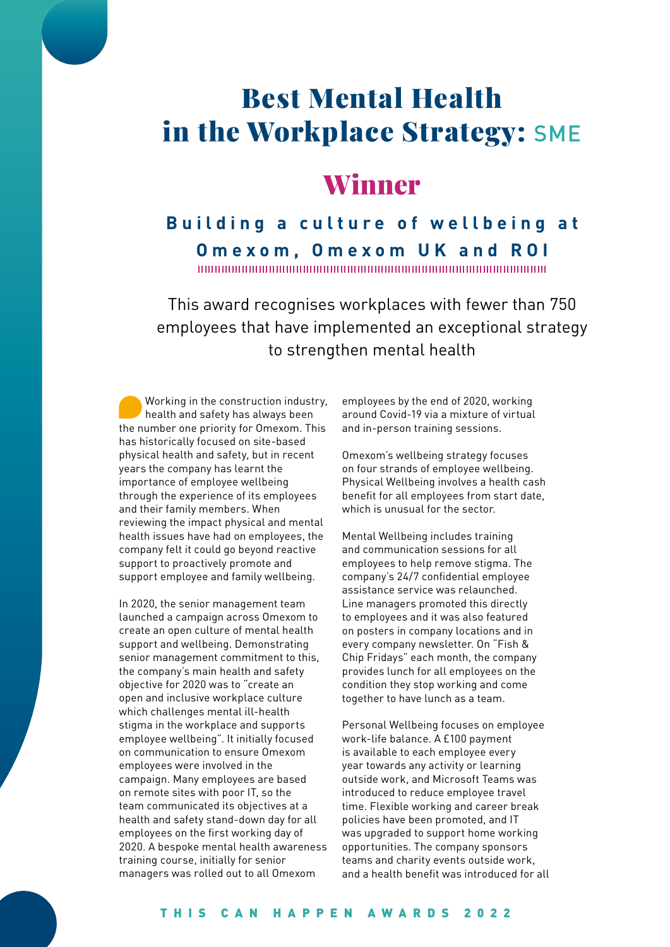# Best Mental Health in the Workplace Strategy: SME

## Winner

**Building a culture of wellbeing at Omexom, Omexom UK and ROI**

This award recognises workplaces with fewer than 750 employees that have implemented an exceptional strategy to strengthen mental health

Working in the construction industry, health and safety has always been the number one priority for Omexom. This has historically focused on site-based physical health and safety, but in recent years the company has learnt the importance of employee wellbeing through the experience of its employees and their family members. When reviewing the impact physical and mental health issues have had on employees, the company felt it could go beyond reactive support to proactively promote and support employee and family wellbeing.

In 2020, the senior management team launched a campaign across Omexom to create an open culture of mental health support and wellbeing. Demonstrating senior management commitment to this, the company's main health and safety objective for 2020 was to "create an open and inclusive workplace culture which challenges mental ill-health stigma in the workplace and supports employee wellbeing". It initially focused on communication to ensure Omexom employees were involved in the campaign. Many employees are based on remote sites with poor IT, so the team communicated its objectives at a health and safety stand-down day for all employees on the first working day of 2020. A bespoke mental health awareness training course, initially for senior managers was rolled out to all Omexom

employees by the end of 2020, working around Covid-19 via a mixture of virtual and in-person training sessions.

Omexom's wellbeing strategy focuses on four strands of employee wellbeing. Physical Wellbeing involves a health cash benefit for all employees from start date, which is unusual for the sector.

Mental Wellbeing includes training and communication sessions for all employees to help remove stigma. The company's 24/7 confidential employee assistance service was relaunched. Line managers promoted this directly to employees and it was also featured on posters in company locations and in every company newsletter. On "Fish & Chip Fridays" each month, the company provides lunch for all employees on the condition they stop working and come together to have lunch as a team.

Personal Wellbeing focuses on employee work-life balance. A £100 payment is available to each employee every year towards any activity or learning outside work, and Microsoft Teams was introduced to reduce employee travel time. Flexible working and career break policies have been promoted, and IT was upgraded to support home working opportunities. The company sponsors teams and charity events outside work, and a health benefit was introduced for all

#### THIS CAN HAPPEN AWARDS 2022